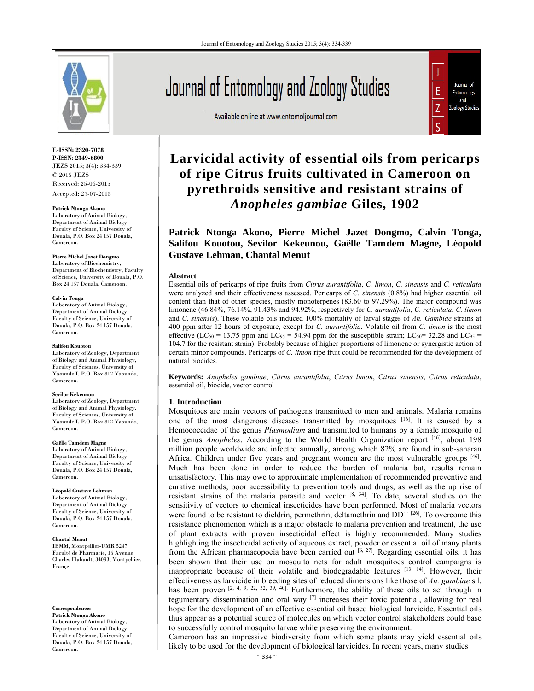

**E-ISSN: 2320-7078 P-ISSN: 2349-6800** JEZS 2015; 3(4): 334-339 © 2015 JEZS Received: 25-06-2015 Accepted: 27-07-2015

**Patrick NtongaAkono**

Laboratory of Animal Biology, Department of Animal Biology, Faculty of Science, University of Douala, P.O. Box 24 157 Douala, Cameroon.

#### **Pierre Michel Jazet Dongmo**

Laboratory of Biochemistry, Department of Biochemistry, Faculty of Science, University of Douala, P.O. Box 24 157 Douala, Cameroon.

#### **Calvin Tonga**

Laboratory of Animal Biology, Department of Animal Biology, Faculty of Science, University of Douala, P.O. Box 24 157 Douala, Cameroon.

#### **Salifou Kouotou**

Laboratory of Zoology, Department of Biology and Animal Physiology, Faculty of Sciences, University of Yaounde I, P.O. Box 812 Yaounde, Cameroon.

#### **Sevilor Kekeunou**

Laboratory of Zoology, Department of Biology and Animal Physiology, Faculty of Sciences, University of Yaounde I, P.O. Box 812 Yaounde, Cameroon.

#### **Gaëlle Tamdem Magne**

Laboratory of Animal Biology, Department of Animal Biology, Faculty of Science, University of Douala, P.O. Box 24 157 Douala, Cameroon.

**Léopold Gustave Lehman** Laboratory of Animal Biology, Department of Animal Biology, Faculty of Science, University of Douala, P.O. Box 24 157 Douala, Cameroon.

#### **Chantal Menut**

IBMM, Montpellier-UMR 5247, Faculté de Pharmacie, 15 Avenue Charles Flahault, 34093, Montpellier, Françe.

#### **Correspondence:**

**Patrick NtongaAkono** Laboratory of Animal Biology, Department of Animal Biology, Faculty of Science, University of Douala, P.O. Box 24 157 Douala, Cameroon.

# Journal of Entomology and Zoology Studies

Available online at www.entomoljournal.com



# **Larvicidal activity of essential oils from pericarps of ripe Citrus fruits cultivated in Cameroon on pyrethroids sensitive and resistant strains of**  *Anopheles gambiae* **Giles, 1902**

**Patrick Ntonga Akono, Pierre Michel Jazet Dongmo, Calvin Tonga, Salifou Kouotou, Sevilor Kekeunou, Gaëlle Tamdem Magne, Léopold Gustave Lehman, Chantal Menut** 

#### **Abstract**

Essential oils of pericarps of ripe fruits from *Citrus aurantifolia*, *C. limon*, *C. sinensis* and *C. reticulata* were analyzed and their effectiveness assessed. Pericarps of *C. sinensis* (0.8%) had higher essential oil content than that of other species, mostly monoterpenes (83.60 to 97.29%). The major compound was limonene (46.84%, 76.14%, 91.43% and 94.92%, respectively for *C. aurantifolia*, *C. reticulata*, *C. limon* and *C. sinensis*). These volatile oils induced 100% mortality of larval stages of *An. Gambiae* strains at 400 ppm after 12 hours of exposure, except for *C. aurantifolia*. Volatile oil from *C. limon* is the most effective (LC<sub>50</sub> = 13.75 ppm and LC<sub>95</sub> = 54.94 ppm for the susceptible strain; LC<sub>50</sub> = 32.28 and LC<sub>95</sub> = 104.7 for the resistant strain). Probably because of higher proportions of limonene or synergistic action of certain minor compounds. Pericarps of *C. limon* ripe fruit could be recommended for the development of natural biocides*.*

**Keywords:** *Anopheles gambiae*, *Citrus aurantifolia*, *Citrus limon*, *Citrus sinensis*, *Citrus reticulata*, essential oil, biocide, vector control

#### **1. Introduction**

Mosquitoes are main vectors of pathogens transmitted to men and animals. Malaria remains one of the most dangerous diseases transmitted by mosquitoes [16]. It is caused by a Hemococcidae of the genus *Plasmodium* and transmitted to humans by a female mosquito of the genus *Anopheles*. According to the World Health Organization report [46], about 198 million people worldwide are infected annually, among which 82% are found in sub-saharan Africa. Children under five years and pregnant women are the most vulnerable groups  $[46]$ . Much has been done in order to reduce the burden of malaria but, results remain unsatisfactory. This may owe to approximate implementation of recommended preventive and curative methods, poor accessibility to prevention tools and drugs, as well as the up rise of resistant strains of the malaria parasite and vector [8, 34]. To date, several studies on the sensitivity of vectors to chemical insecticides have been performed. Most of malaria vectors were found to be resistant to dieldrin, permethrin, deltamethrin and DDT  $^{[26]}$ . To overcome this resistance phenomenon which is a major obstacle to malaria prevention and treatment, the use of plant extracts with proven insecticidal effect is highly recommended. Many studies highlighting the insecticidal activity of aqueous extract, powder or essential oil of many plants from the African pharmacopoeia have been carried out  $[6, 27]$ . Regarding essential oils, it has been shown that their use on mosquito nets for adult mosquitoes control campaigns is inappropriate because of their volatile and biodegradable features  $[13, 14]$ . However, their effectiveness as larvicide in breeding sites of reduced dimensions like those of *An. gambiae* s.l. has been proven  $[2, 4, 9, 22, 32, 39, 40]$ . Furthermore, the ability of these oils to act through in tegumentary dissemination and oral way [7] increases their toxic potential, allowing for real hope for the development of an effective essential oil based biological larvicide. Essential oils thus appear as a potential source of molecules on which vector control stakeholders could base to successfully control mosquito larvae while preserving the environment.

Cameroon has an impressive biodiversity from which some plants may yield essential oils likely to be used for the development of biological larvicides. In recent years, many studies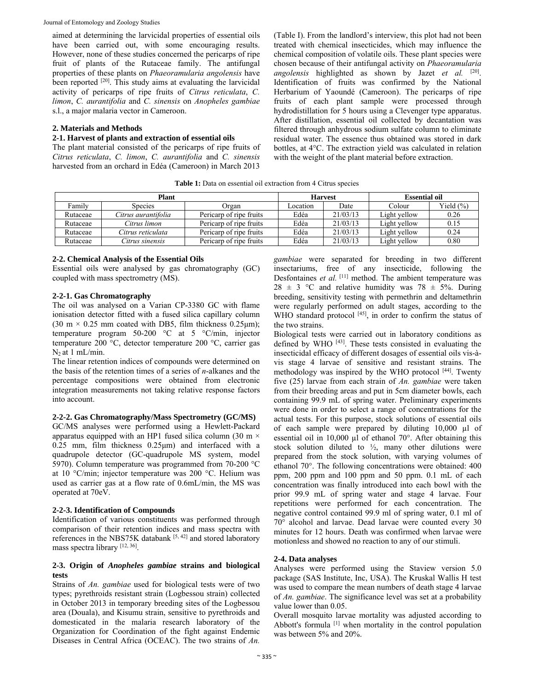aimed at determining the larvicidal properties of essential oils have been carried out, with some encouraging results. However, none of these studies concerned the pericarps of ripe fruit of plants of the Rutaceae family. The antifungal properties of these plants on *Phaeoramularia angolensis* have been reported <sup>[20]</sup>. This study aims at evaluating the larvicidal activity of pericarps of ripe fruits of *Citrus reticulata*, *C. limon*, *C. aurantifolia* and *C. sinensis* on *Anopheles gambiae* s.l., a major malaria vector in Cameroon.

# **2. Materials and Methods**

# **2-1. Harvest of plants and extraction of essential oils**

The plant material consisted of the pericarps of ripe fruits of *Citrus reticulata*, *C. limon*, *C. aurantifolia* and *C. sinensis* harvested from an orchard in Edéa (Cameroon) in March 2013 (Table I). From the landlord's interview, this plot had not been treated with chemical insecticides, which may influence the chemical composition of volatile oils. These plant species were chosen because of their antifungal activity on *Phaeoramularia angolensis* highlighted as shown by Jazet *et al.* [20]. Identification of fruits was confirmed by the National Herbarium of Yaoundé (Cameroon). The pericarps of ripe fruits of each plant sample were processed through hydrodistillation for 5 hours using a Clevenger type apparatus. After distillation, essential oil collected by decantation was filtered through anhydrous sodium sulfate column to eliminate residual water. The essence thus obtained was stored in dark bottles, at 4°C. The extraction yield was calculated in relation with the weight of the plant material before extraction.

**Table 1:** Data on essential oil extraction from 4 Citrus species

| Plant    |                     |                         | <b>Harvest</b> |          | <b>Essential oil</b> |               |
|----------|---------------------|-------------------------|----------------|----------|----------------------|---------------|
| Familv   | <b>Species</b>      | Organ                   | Location       | Date     | Colour               | Yield $(\% )$ |
| Rutaceae | Citrus aurantifolia | Pericarp of ripe fruits | Edéa           | 21/03/13 | Light yellow         | 0.26          |
| Rutaceae | Citrus limon        | Pericarp of ripe fruits | Edéa           | 21/03/13 | Light vellow         | 0.15          |
| Rutaceae | Citrus reticulata   | Pericarp of ripe fruits | Edéa           | 21/03/13 | Light vellow         | 0.24          |
| Rutaceae | Citrus sinensis     | Pericarp of ripe fruits | Edéa           | 21/03/13 | Light yellow         | 0.80          |

# **2-2. Chemical Analysis of the Essential Oils**

Essential oils were analysed by gas chromatography (GC) coupled with mass spectrometry (MS).

# **2-2-1. Gas Chromatography**

The oil was analysed on a Varian CP-3380 GC with flame ionisation detector fitted with a fused silica capillary column (30 m  $\times$  0.25 mm coated with DB5, film thickness 0.25 µm); temperature program 50-200 °C at 5 °C/min, injector temperature 200 °C, detector temperature 200 °C, carrier gas  $N<sub>2</sub>$  at 1 mL/min.

The linear retention indices of compounds were determined on the basis of the retention times of a series of *n*-alkanes and the percentage compositions were obtained from electronic integration measurements not taking relative response factors into account.

# **2-2-2. Gas Chromatography/Mass Spectrometry (GC/MS)**

GC/MS analyses were performed using a Hewlett-Packard apparatus equipped with an HP1 fused silica column (30 m  $\times$ 0.25 mm, film thickness 0.25μm) and interfaced with a quadrupole detector (GC-quadrupole MS system, model 5970). Column temperature was programmed from 70-200 °C at 10 °C/min; injector temperature was 200 °C. Helium was used as carrier gas at a flow rate of 0.6mL/min, the MS was operated at 70eV.

# **2-2-3. Identification of Compounds**

Identification of various constituents was performed through comparison of their retention indices and mass spectra with references in the NBS75K databank [5, 42] and stored laboratory mass spectra library [12, 36].

# **2-3. Origin of** *Anopheles gambiae* **strains and biological tests**

Strains of *An. gambiae* used for biological tests were of two types; pyrethroids resistant strain (Logbessou strain) collected in October 2013 in temporary breeding sites of the Logbessou area (Douala), and Kisumu strain, sensitive to pyrethroids and domesticated in the malaria research laboratory of the Organization for Coordination of the fight against Endemic Diseases in Central Africa (OCEAC). The two strains of *An.* 

*gambiae* were separated for breeding in two different insectariums, free of any insecticide, following the Desfontaines et al. <sup>[11]</sup> method. The ambient temperature was 28  $\pm$  3 °C and relative humidity was 78  $\pm$  5%. During breeding, sensitivity testing with permethrin and deltamethrin were regularly performed on adult stages, according to the WHO standard protocol [45], in order to confirm the status of the two strains.

Biological tests were carried out in laboratory conditions as defined by WHO [43]. These tests consisted in evaluating the insecticidal efficacy of different dosages of essential oils vis-àvis stage 4 larvae of sensitive and resistant strains. The methodology was inspired by the WHO protocol [44]. Twenty five (25) larvae from each strain of *An. gambiae* were taken from their breeding areas and put in 5cm diameter bowls, each containing 99.9 mL of spring water. Preliminary experiments were done in order to select a range of concentrations for the actual tests. For this purpose, stock solutions of essential oils of each sample were prepared by diluting 10,000 µl of essential oil in 10,000  $\mu$ l of ethanol 70 $^{\circ}$ . After obtaining this stock solution diluted to  $\frac{1}{2}$ , many other dilutions were prepared from the stock solution, with varying volumes of ethanol 70°. The following concentrations were obtained: 400 ppm, 200 ppm and 100 ppm and 50 ppm. 0.1 mL of each concentration was finally introduced into each bowl with the prior 99.9 mL of spring water and stage 4 larvae. Four repetitions were performed for each concentration. The negative control contained 99.9 ml of spring water, 0.1 ml of 70° alcohol and larvae. Dead larvae were counted every 30 minutes for 12 hours. Death was confirmed when larvae were motionless and showed no reaction to any of our stimuli.

# **2-4. Data analyses**

Analyses were performed using the Staview version 5.0 package (SAS Institute, Inc, USA). The Kruskal Wallis H test was used to compare the mean numbers of death stage 4 larvae of *An. gambiae*. The significance level was set at a probability value lower than 0.05.

Overall mosquito larvae mortality was adjusted according to Abbott's formula<sup>[1]</sup> when mortality in the control population was between 5% and 20%.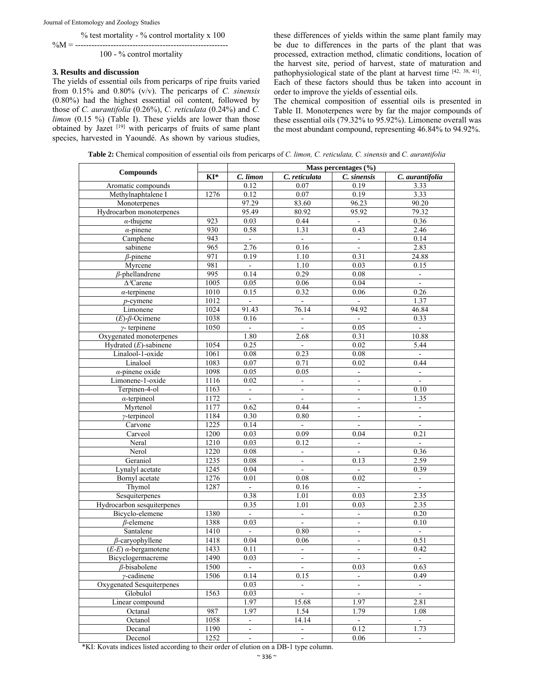Journal of Entomology and Zoology Studies

% test mortality - % control mortality x 100

 $\%M = \hbox{\ldots}\hbox{\ldots}\hbox{\ldots}\hbox{\ldots}\hbox{\ldots}\hbox{\ldots}$ 100 - % control mortality

### **3. Results and discussion**

The yields of essential oils from pericarps of ripe fruits varied from 0.15% and 0.80% (v/v). The pericarps of *C. sinensis* (0.80%) had the highest essential oil content, followed by those of *C. aurantifolia* (0.26%), *C. reticulata* (0.24%) and *C. limon* (0.15 %) (Table I). These yields are lower than those obtained by Jazet [19] with pericarps of fruits of same plant species, harvested in Yaoundé. As shown by various studies, these differences of yields within the same plant family may be due to differences in the parts of the plant that was processed, extraction method, climatic conditions, location of the harvest site, period of harvest, state of maturation and pathophysiological state of the plant at harvest time [42, 38, 41]. Each of these factors should thus be taken into account in order to improve the yields of essential oils.

The chemical composition of essential oils is presented in Table II. Monoterpenes were by far the major compounds of these essential oils (79.32% to 95.92%). Limonene overall was the most abundant compound, representing 46.84% to 94.92%.

**Table 2:** Chemical composition of essential oils from pericarps of *C. limon, C. reticulata, C. sinensis* and *C. aurantifolia*

|                               | Mass percentages $(\% )$ |                        |                          |                |                          |  |
|-------------------------------|--------------------------|------------------------|--------------------------|----------------|--------------------------|--|
| <b>Compounds</b>              | KI*                      | $\overline{C}$ . limon | C. reticulata            | C. sinensis    | C. aurantifolia          |  |
| Aromatic compounds            |                          | 0.12                   | 0.07                     | 0.19           | 3.33                     |  |
| Methylnaphtalene I            | 1276                     | 0.12                   | 0.07                     | 0.19           | 3.33                     |  |
| Monoterpenes                  |                          | 97.29                  | 83.60                    | 96.23          | 90.20                    |  |
| Hydrocarbon monoterpenes      |                          | 95.49                  | 80.92                    | 95.92          | 79.32                    |  |
| $\alpha$ -thujene             | 923                      | 0.03                   | 0.44                     | $\blacksquare$ | 0.36                     |  |
| $\alpha$ -pinene              | 930                      | 0.58                   | 1.31                     | 0.43           | 2.46                     |  |
| Camphene                      | 943                      | $\Box$                 | $\Box$                   |                | 0.14                     |  |
| sabinene                      | 965                      | 2.76                   | 0.16                     | $\blacksquare$ | 2.83                     |  |
| $\beta$ -pinene               | 971                      | 0.19                   | 1.10                     | 0.31           | 24.88                    |  |
| Myrcene                       | 981                      | $\omega$               | 1.10                     | 0.03           | 0.15                     |  |
| $\beta$ -phellandrene         | 995                      | 0.14                   | 0.29                     | 0.08           | $\Box$                   |  |
| $\Delta$ <sup>3</sup> Carene  | 1005                     | 0.05                   | 0.06                     | 0.04           | $\blacksquare$           |  |
| $\alpha$ -terpinene           | 1010                     | 0.15                   | 0.32                     | 0.06           | 0.26                     |  |
| $p$ -cymene                   | 1012                     | $\omega_{\rm c}$       | $\mathbb{Z}^2$           | $\mathbf{r}$   | 1.37                     |  |
| Limonene                      | 1024                     | 91.43                  | 76.14                    | 94.92          | 46.84                    |  |
| $(E)$ - $\beta$ -Ocimene      | 1038                     | 0.16                   | $\blacksquare$           | $\blacksquare$ | 0.33                     |  |
| $\gamma$ - terpinene          | 1050                     | $\omega$               | $\overline{a}$           | 0.05           | ă.                       |  |
| Oxygenated monoterpenes       |                          | 1.80                   | 2.68                     | 0.31           | 10.88                    |  |
| Hydrated $(E)$ -sabinene      | 1054                     | 0.25                   | $\blacksquare$           | 0.02           | 5.44                     |  |
| Linalool-1-oxide              | 1061                     | 0.08                   | 0.23                     | 0.08           |                          |  |
| Linalool                      | 1083                     | 0.07                   | 0.71                     | 0.02           | 0.44                     |  |
| $\alpha$ -pinene oxide        | 1098                     | 0.05                   | 0.05                     | $\mathbf{r}$   | $\bar{\phantom{a}}$      |  |
| Limonene-1-oxide              | 1116                     | 0.02                   |                          |                | $\blacksquare$           |  |
| Terpinen-4-ol                 | 1163                     | $\blacksquare$         | $\Box$                   | $\blacksquare$ | 0.10                     |  |
| $\alpha$ -terpineol           | 1172                     | $\blacksquare$         | $\blacksquare$           | $\blacksquare$ | 1.35                     |  |
| Myrtenol                      | 1177                     | 0.62                   | 0.44                     |                |                          |  |
| $\gamma$ -terpineol           | 1184                     | 0.30                   | 0.80                     | $\mathbf{r}$   | $\omega$                 |  |
| Carvone                       | 1225                     | 0.14                   | $\blacksquare$           | $\blacksquare$ | $\blacksquare$           |  |
| Carveol                       | 1200                     | 0.03                   | 0.09                     | 0.04           | 0.21                     |  |
| Neral                         | 1210                     | 0.03                   | 0.12                     |                | $\Box$                   |  |
| Nerol                         | 1220                     | 0.08                   | $\blacksquare$           | $\blacksquare$ | 0.36                     |  |
| Geraniol                      | 1235                     | $0.08\,$               | $\Box$                   | 0.13           | 2.59                     |  |
| Lynalyl acetate               | 1245                     | 0.04                   | ÷,                       |                | 0.39                     |  |
| Bornyl acetate                | 1276                     | 0.01                   | 0.08                     | 0.02           | $\omega$                 |  |
| Thymol                        | 1287                     | $\omega$               | 0.16                     | $\omega$       | $\blacksquare$           |  |
| Sesquiterpenes                |                          | 0.38                   | 1.01                     | 0.03           | 2.35                     |  |
| Hydrocarbon sesquiterpenes    |                          | 0.35                   | 1.01                     | 0.03           | 2.35                     |  |
| Bicyclo-elemene               | 1380                     |                        | $\overline{\phantom{0}}$ | $\blacksquare$ | 0.20                     |  |
| $\beta$ -elemene              | 1388                     | 0.03                   | $\blacksquare$           | $\blacksquare$ | 0.10                     |  |
| Santalene                     | 1410                     | $\mathbf{r}$           | 0.80                     | $\omega$       | $\mathbf{r}$             |  |
| $\beta$ -caryophyllene        | 1418                     | 0.04                   | 0.06                     | $\blacksquare$ | 0.51                     |  |
| $(E-E)$ $\alpha$ -bergamotene | 1433                     | 0.11                   | $\blacksquare$           | $\blacksquare$ | 0.42                     |  |
| Bicyclogermacreme             | 1490                     | 0.03                   | ÷                        |                |                          |  |
| $\beta$ -bisabolene           | 1500                     | $\Box$                 |                          | 0.03           | 0.63                     |  |
| $\gamma$ -cadinene            | 1506                     | 0.14                   | 0.15                     |                | 0.49                     |  |
| Oxygenated Sesquiterpenes     |                          | 0.03                   | ÷,                       | $\blacksquare$ |                          |  |
| Globulol                      | 1563                     | 0.03                   | $\overline{a}$           | $\blacksquare$ | $\omega$                 |  |
| Linear compound               |                          | 1.97                   | 15.68                    | 1.97           | 2.81                     |  |
| Octanal                       | 987                      | 1.97                   | 1.54                     | 1.79           | 1.08                     |  |
| Octanol                       | 1058                     | $\omega$               | 14.14                    | $\Delta$       | $\omega$                 |  |
| Decanal                       | 1190                     | $\blacksquare$         | ۰                        | 0.12           | 1.73                     |  |
| Decenol                       | 1252                     | $\blacksquare$         |                          | 0.06           | $\overline{\phantom{a}}$ |  |

\*KI: Kovats indices listed according to their order of elution on a DB-1 type column.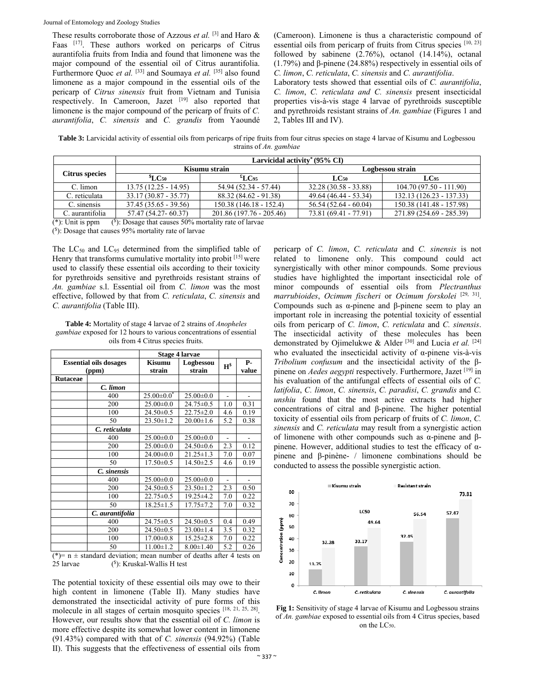These results corroborate those of Azzous *et al.* [3] and Haro & Faas [17]. These authors worked on pericarps of Citrus aurantifolia fruits from India and found that limonene was the major compound of the essential oil of Citrus aurantifolia. Furthermore Quoc *et al.* [33] and Soumaya *et al.* [35] also found limonene as a major compound in the essential oils of the pericarp of *Citrus sinensis* fruit from Vietnam and Tunisia respectively. In Cameroon, Jazet [19] also reported that limonene is the major compound of the pericarp of fruits of *C. aurantifolia*, *C. sinensis* and *C. grandis* from Yaoundé (Cameroon). Limonene is thus a characteristic compound of essential oils from pericarp of fruits from Citrus species [10, 23] followed by sabinene  $(2.76\%)$ , octanol  $(14.14\%)$ , octanal (1.79%) and β-pinene (24.88%) respectively in essential oils of *C. limon*, *C. reticulata*, *C. sinensis* and *C. aurantifolia*.

Laboratory tests showed that essential oils of *C. aurantifolia*, *C. limon*, *C. reticulata and C. sinensis* present insecticidal properties vis-à-vis stage 4 larvae of pyrethroids susceptible and pyrethroids resistant strains of *An. gambiae* (Figures 1 and 2, Tables III and IV).

**Table 3:** Larvicidal activity of essential oils from pericarps of ripe fruits from four citrus species on stage 4 larvae of Kisumu and Logbessou strains of *An. gambiae*

|                 | Larvicidal activity <sup>*</sup> (95% CI) |                          |                        |                           |  |
|-----------------|-------------------------------------------|--------------------------|------------------------|---------------------------|--|
| Citrus species  |                                           | Kisumu strain            | Logbessou strain       |                           |  |
|                 | $^{\$}LC$ 50                              | $*_{\text{LC95}}$        | $LC_{50}$              | $LC_{95}$                 |  |
| C. limon        | $13.75(12.25 - 14.95)$                    | 54.94 (52.34 - 57.44)    | $32.28(30.58 - 33.88)$ | $104.70(97.50 - 111.90)$  |  |
| C. reticulata   | $33.17(30.87 - 35.77)$                    | 88.32 (84.62 - 91.38)    | 49.64 (46.44 - 53.34)  | $132.13(126.23 - 137.33)$ |  |
| C. sinensis     | $37.45(35.65 - 39.56)$                    | 150.38 (146.18 - 152.4)  | $56.54(52.64 - 60.04)$ | 150.38 (141.48 - 157.98)  |  |
| C. aurantifolia | 57.47 (54.27-60.37)                       | 201.86 (197.76 - 205.46) | 73.81 (69.41 - 77.91)  | 271.89 (254.69 - 285.39)  |  |

 $(*)$ : Unit is ppm  $(\text{S})$ : Dosage that causes 50% mortality rate of larvae

(\$ ): Dosage that causes 95% mortality rate of larvae

The  $LC_{50}$  and  $LC_{95}$  determined from the simplified table of Henry that transforms cumulative mortality into probit [15] were used to classify these essential oils according to their toxicity for pyrethroids sensitive and pyrethroids resistant strains of *An. gambiae* s.l. Essential oil from *C. limon* was the most effective, followed by that from *C. reticulata*, *C. sinensis* and *C. aurantifolia* (Table III).

**Table 4:** Mortality of stage 4 larvae of 2 strains of *Anopheles gambiae* exposed for 12 hours to various concentrations of essential oils from 4 Citrus species fruits.

|                               |                                                                                                                                                                                                                                                                                                                                                                                            | <b>Stage 4 larvae</b>   |                     |                |                |
|-------------------------------|--------------------------------------------------------------------------------------------------------------------------------------------------------------------------------------------------------------------------------------------------------------------------------------------------------------------------------------------------------------------------------------------|-------------------------|---------------------|----------------|----------------|
| <b>Essential oils dosages</b> |                                                                                                                                                                                                                                                                                                                                                                                            | <b>Kisumu</b><br>strain | Logbessou<br>strain | $H^{\$}$       | Р-<br>value    |
|                               | (ppm)                                                                                                                                                                                                                                                                                                                                                                                      |                         |                     |                |                |
| <b>Rutaceae</b>               |                                                                                                                                                                                                                                                                                                                                                                                            |                         |                     |                |                |
|                               | C. limon                                                                                                                                                                                                                                                                                                                                                                                   |                         |                     |                |                |
|                               | 400                                                                                                                                                                                                                                                                                                                                                                                        | $25.00 \pm 0.0^*$       | $25.00 \pm 0.0$     | $\overline{a}$ | $\blacksquare$ |
|                               | 200                                                                                                                                                                                                                                                                                                                                                                                        | $25.00 \pm 0.0$         | $24.75 \pm 0.5$     | 1.0            | 0.31           |
|                               | 100                                                                                                                                                                                                                                                                                                                                                                                        | $24.50 \pm 0.5$         | $22.75 \pm 2.0$     | 4.6            | 0.19           |
|                               | 50                                                                                                                                                                                                                                                                                                                                                                                         | $23.50 \pm 1.2$         | $20.00 \pm 1.6$     | 5.2            | 0.38           |
|                               | C. reticulata                                                                                                                                                                                                                                                                                                                                                                              |                         |                     |                |                |
|                               | 400                                                                                                                                                                                                                                                                                                                                                                                        | $25.00 \pm 0.0$         | $25.00 \pm 0.0$     | $\overline{a}$ | $\overline{a}$ |
|                               | 200                                                                                                                                                                                                                                                                                                                                                                                        | $25.00 \pm 0.0$         | $24.50 \pm 0.6$     | 2.3            | 0.12           |
|                               | 100                                                                                                                                                                                                                                                                                                                                                                                        | $24.00 \pm 0.0$         | $21.25 \pm 1.3$     | 7.0            | 0.07           |
|                               | 50                                                                                                                                                                                                                                                                                                                                                                                         | $17.50 \pm 0.5$         | $14.50 \pm 2.5$     | 4.6            | 0.19           |
|                               | C. sinensis                                                                                                                                                                                                                                                                                                                                                                                |                         |                     |                |                |
|                               | 400                                                                                                                                                                                                                                                                                                                                                                                        | $25.00 \pm 0.0$         | $25.00 \pm 0.0$     |                |                |
|                               | 200                                                                                                                                                                                                                                                                                                                                                                                        | $24.50 \pm 0.5$         | $23.50 \pm 1.2$     | 2.3            | 0.50           |
|                               | 100                                                                                                                                                                                                                                                                                                                                                                                        | $22.75 \pm 0.5$         | $19.25 \pm 4.2$     | 7.0            | 0.22           |
|                               | 50                                                                                                                                                                                                                                                                                                                                                                                         | $18.25 \pm 1.5$         | 17.75 ± 7.2         | 7.0            | 0.32           |
|                               | C. aurantifolia                                                                                                                                                                                                                                                                                                                                                                            |                         |                     |                |                |
|                               | 400                                                                                                                                                                                                                                                                                                                                                                                        | $24.75 \pm 0.5$         | $24.50 \pm 0.5$     | 0.4            | 0.49           |
|                               | 200                                                                                                                                                                                                                                                                                                                                                                                        | $24.50 \pm 0.5$         | $23.00 \pm 1.4$     | 3.5            | 0.32           |
|                               | 100                                                                                                                                                                                                                                                                                                                                                                                        | $17.00 \pm 0.8$         | $15.25 \pm 2.8$     | 7.0            | 0.22           |
|                               | 50<br>$\overline{1}$ $\overline{1}$ $\overline{1}$ $\overline{1}$ $\overline{1}$ $\overline{1}$ $\overline{1}$ $\overline{1}$ $\overline{1}$ $\overline{1}$ $\overline{1}$ $\overline{1}$ $\overline{1}$ $\overline{1}$ $\overline{1}$ $\overline{1}$ $\overline{1}$ $\overline{1}$ $\overline{1}$ $\overline{1}$ $\overline{1}$ $\overline{1}$ $\overline{1}$ $\overline{1}$ $\overline{$ | $11.00 \pm 1.2$         | $8.00 \pm 1.40$     | 5.2            | 0.26           |

 $(k)$ = n  $\pm$  standard deviation; mean number of deaths after 4 tests on 25 larvae (\$): Kruskal-Wallis H test

The potential toxicity of these essential oils may owe to their high content in limonene (Table II). Many studies have demonstrated the insecticidal activity of pure forms of this molecule in all stages of certain mosquito species [18, 21, 25, 28]. However, our results show that the essential oil of *C. limon* is more effective despite its somewhat lower content in limonene (91.43%) compared with that of *C. sinensis* (94.92%) (Table II). This suggests that the effectiveness of essential oils from

pericarp of *C. limon*, *C. reticulata* and *C. sinensis* is not related to limonene only. This compound could act synergistically with other minor compounds. Some previous studies have highlighted the important insecticidal role of minor compounds of essential oils from *Plectranthus marrubioides*, *Ocimum fischeri* or *Ocimum forskolei* [29, 31]. Compounds such as α-pinene and β-pinene seem to play an important role in increasing the potential toxicity of essential oils from pericarp of *C. limon*, *C. reticulata* and *C. sinensis*. The insecticidal activity of these molecules has been demonstrated by Ojimelukwe & Alder [30] and Lucia *et al.* [24] who evaluated the insecticidal activity of α-pinene vis-à-vis *Tribolium confusum* and the insecticidal activity of the βpinene on *Aedes aegypti* respectively. Furthermore, Jazet<sup>[19]</sup> in his evaluation of the antifungal effects of essential oils of *C. latifolia*, *C. limon*, *C. sinensis*, *C. paradisi*, *C. grandis* and *C. unshiu* found that the most active extracts had higher concentrations of citral and β-pinene. The higher potential toxicity of essential oils from pericarp of fruits of *C. limon*, *C. sinensis* and *C. reticulata* may result from a synergistic action of limonene with other compounds such as α-pinene and βpinene. However, additional studies to test the efficacy of  $α$ pinene and β-pinène- / limonene combinations should be conducted to assess the possible synergistic action.



**Fig 1:** Sensitivity of stage 4 larvae of Kisumu and Logbessou strains of *An. gambiae* exposed to essential oils from 4 Citrus species, based on the LC<sub>50</sub>.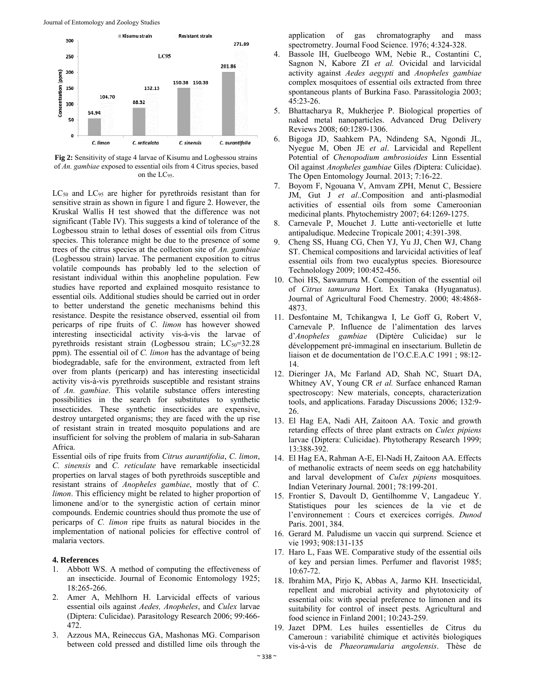

**Fig 2:** Sensitivity of stage 4 larvae of Kisumu and Logbessou strains of *An. gambiae* exposed to essential oils from 4 Citrus species, based on the LC95.

 $LC_{50}$  and  $LC_{95}$  are higher for pyrethroids resistant than for sensitive strain as shown in figure 1 and figure 2. However, the Kruskal Wallis H test showed that the difference was not significant (Table IV). This suggests a kind of tolerance of the Logbessou strain to lethal doses of essential oils from Citrus species. This tolerance might be due to the presence of some trees of the citrus species at the collection site of *An. gambiae* (Logbessou strain) larvae. The permanent exposition to citrus volatile compounds has probably led to the selection of resistant individual within this anopheline population. Few studies have reported and explained mosquito resistance to essential oils. Additional studies should be carried out in order to better understand the genetic mechanisms behind this resistance. Despite the resistance observed, essential oil from pericarps of ripe fruits of *C. limon* has however showed interesting insecticidal activity vis-à-vis the larvae of pyrethroids resistant strain (Logbessou strain;  $LC_{50} = 32.28$ ppm). The essential oil of *C. limon* has the advantage of being biodegradable, safe for the environment, extracted from left over from plants (pericarp) and has interesting insecticidal activity vis-à-vis pyrethroids susceptible and resistant strains of *An. gambiae*. This volatile substance offers interesting possibilities in the search for substitutes to synthetic insecticides. These synthetic insecticides are expensive, destroy untargeted organisms; they are faced with the up rise of resistant strain in treated mosquito populations and are insufficient for solving the problem of malaria in sub-Saharan Africa.

Essential oils of ripe fruits from *Citrus aurantifolia*, *C. limon*, *C. sinensis* and *C. reticulate* have remarkable insecticidal properties on larval stages of both pyrethroids susceptible and resistant strains of *Anopheles gambiae*, mostly that of *C. limon*. This efficiency might be related to higher proportion of limonene and/or to the synergistic action of certain minor compounds. Endemic countries should thus promote the use of pericarps of *C. limon* ripe fruits as natural biocides in the implementation of national policies for effective control of malaria vectors.

#### **4. References**

- 1. Abbott WS. A method of computing the effectiveness of an insecticide. Journal of Economic Entomology 1925; 18:265-266.
- 2. Amer A, Mehlhorn H. Larvicidal effects of various essential oils against *Aedes, Anopheles*, and *Culex* larvae (Diptera: Culicidae). Parasitology Research 2006; 99:466- 472.
- 3. Azzous MA, Reineccus GA, Mashonas MG. Comparison between cold pressed and distilled lime oils through the

application of gas chromatography and mass spectrometry. Journal Food Science. 1976; 4:324-328.

- 4. Bassole IH, Guelbeogo WM, Nebie R., Costantini C, Sagnon N, Kabore ZI *et al.* Ovicidal and larvicidal activity against *Aedes aegypti* and *Anopheles gambiae*  complex mosquitoes of essential oils extracted from three spontaneous plants of Burkina Faso. Parassitologia 2003; 45:23-26.
- 5. Bhattacharya R, Mukherjee P. Biological properties of naked metal nanoparticles. Advanced Drug Delivery Reviews 2008; 60:1289-1306.
- 6. Bigoga JD, Saahkem PA, Ndindeng SA, Ngondi JL, Nyegue M, Oben JE *et al*. Larvicidal and Repellent Potential of *Chenopodium ambrosioides* Linn Essential Oil against *Anopheles gambiae* Giles *(*Diptera: Culicidae). The Open Entomology Journal. 2013; 7:16-22.
- 7. Boyom F, Ngouana V, Amvam ZPH, Menut C, Bessiere JM, Gut J *et al*..Composition and anti-plasmodial activities of essential oils from some Cameroonian medicinal plants. Phytochemistry 2007; 64:1269-1275.
- 8. Carnevale P, Mouchet J. Lutte anti-vectorielle et lutte antipaludique. Medecine Tropicale 2001; 4:391-398.
- 9. Cheng SS, Huang CG, Chen YJ, Yu JJ, Chen WJ, Chang ST. Chemical compositions and larvicidal activities of leaf essential oils from two eucalyptus species. Bioresource Technolology 2009; 100:452-456.
- 10. Choi HS, Sawamura M. Composition of the essential oil of *Citrus tamurana* Hort. Ex Tanaka (Hyuganatus). Journal of Agricultural Food Chemestry. 2000; 48:4868- 4873.
- 11. Desfontaine M, Tchikangwa I, Le Goff G, Robert V, Carnevale P. Influence de l'alimentation des larves d'*Anopheles gambiae* (Diptère Culicidae) sur le développement pré-immaginal en insectarium. Bulletin de liaison et de documentation de l'O.C.E.A.C 1991 ; 98:12- 14.
- 12. Dieringer JA, Mc Farland AD, Shah NC, Stuart DA, Whitney AV, Young CR *et al.* Surface enhanced Raman spectroscopy: New materials, concepts, characterization tools, and applications. Faraday Discussions 2006; 132:9- 26.
- 13. El Hag EA, Nadi AH, Zaitoon AA. Toxic and growth retarding effects of three plant extracts on *Culex pipiens*  larvae (Diptera: Culicidae). Phytotherapy Research 1999; 13:388-392.
- 14. El Hag EA, Rahman A-E, El-Nadi H, Zaitoon AA. Effects of methanolic extracts of neem seeds on egg hatchability and larval development of *Culex pipiens* mosquitoes*.*  Indian Veterinary Journal. 2001; 78:199-201.
- 15. Frontier S, Davoult D, Gentilhomme V, Langadeuc Y. Statistiques pour les sciences de la vie et de l'environnement : Cours et exercices corrigés. *Dunod*  Paris. 2001, 384.
- 16. Gerard M. Paludisme un vaccin qui surprend. Science et vie 1993; 908:131-135
- 17. Haro L, Faas WE. Comparative study of the essential oils of key and persian limes. Perfumer and flavorist 1985; 10:67-72.
- 18. Ibrahim MA, Pirjo K, Abbas A, Jarmo KH. Insecticidal, repellent and microbial activity and phytotoxicity of essential oils: with special preference to limonen and its suitability for control of insect pests. Agricultural and food science in Finland 2001; 10:243-259.
- 19. Jazet DPM. Les huiles essentielles de Citrus du Cameroun : variabilité chimique et activités biologiques vis-à-vis de *Phaeoramularia angolensis*. Thèse de